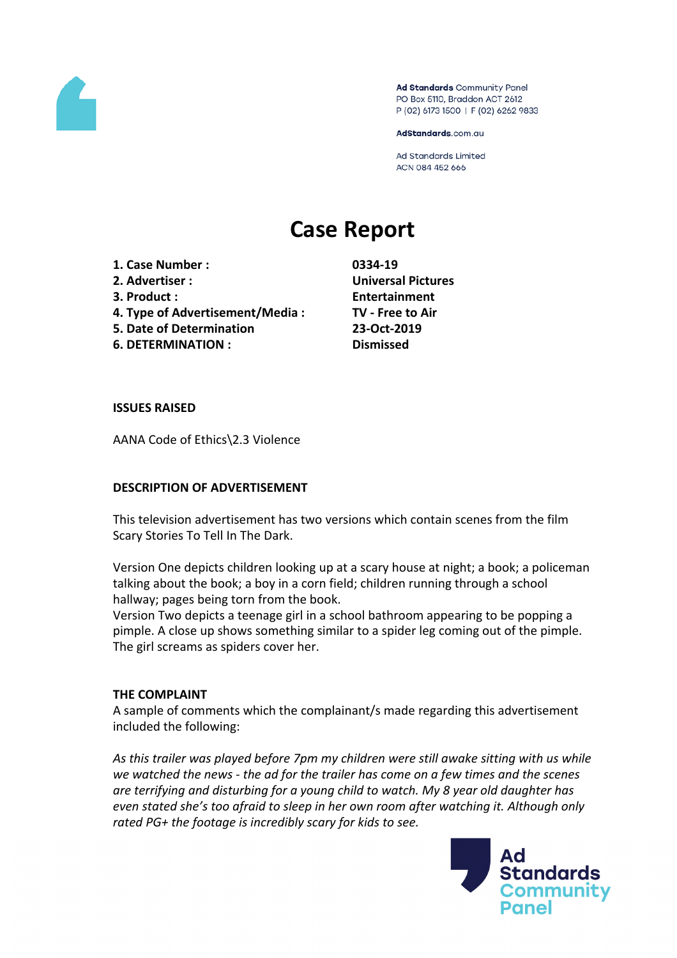

Ad Standards Community Panel PO Box 5110, Braddon ACT 2612 P (02) 6173 1500 | F (02) 6262 9833

AdStandards.com.au

Ad Standards Limited ACN 084 452 666

# **Case Report**

- **1. Case Number : 0334-19**
- 
- 
- **4. Type of Advertisement/Media : TV - Free to Air**
- **5. Date of Determination 23-Oct-2019**
- **6. DETERMINATION : Dismissed**

**2. Advertiser : Universal Pictures 3. Product : Entertainment**

### **ISSUES RAISED**

AANA Code of Ethics\2.3 Violence

## **DESCRIPTION OF ADVERTISEMENT**

This television advertisement has two versions which contain scenes from the film Scary Stories To Tell In The Dark.

Version One depicts children looking up at a scary house at night; a book; a policeman talking about the book; a boy in a corn field; children running through a school hallway; pages being torn from the book.

Version Two depicts a teenage girl in a school bathroom appearing to be popping a pimple. A close up shows something similar to a spider leg coming out of the pimple. The girl screams as spiders cover her.

## **THE COMPLAINT**

A sample of comments which the complainant/s made regarding this advertisement included the following:

*As this trailer was played before 7pm my children were still awake sitting with us while we watched the news - the ad for the trailer has come on a few times and the scenes are terrifying and disturbing for a young child to watch. My 8 year old daughter has even stated she's too afraid to sleep in her own room after watching it. Although only rated PG+ the footage is incredibly scary for kids to see.*

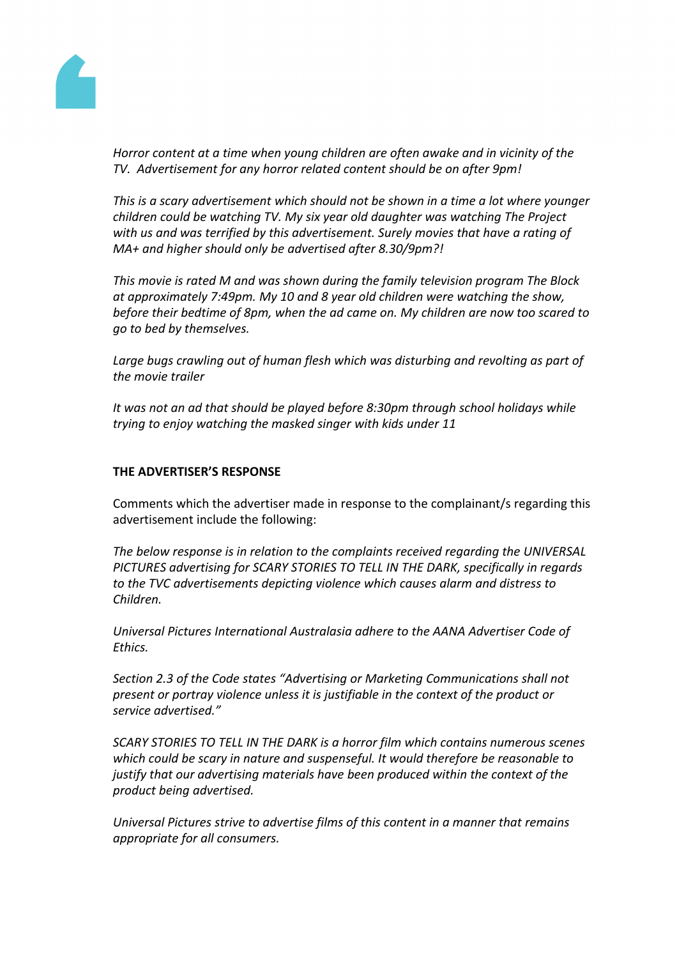

*Horror content at a time when young children are often awake and in vicinity of the TV. Advertisement for any horror related content should be on after 9pm!*

*This is a scary advertisement which should not be shown in a time a lot where younger children could be watching TV. My six year old daughter was watching The Project with us and was terrified by this advertisement. Surely movies that have a rating of MA+ and higher should only be advertised after 8.30/9pm?!*

*This movie is rated M and was shown during the family television program The Block at approximately 7:49pm. My 10 and 8 year old children were watching the show, before their bedtime of 8pm, when the ad came on. My children are now too scared to go to bed by themselves.*

*Large bugs crawling out of human flesh which was disturbing and revolting as part of the movie trailer*

*It was not an ad that should be played before 8:30pm through school holidays while trying to enjoy watching the masked singer with kids under 11*

## **THE ADVERTISER'S RESPONSE**

Comments which the advertiser made in response to the complainant/s regarding this advertisement include the following:

*The below response is in relation to the complaints received regarding the UNIVERSAL PICTURES advertising for SCARY STORIES TO TELL IN THE DARK, specifically in regards to the TVC advertisements depicting violence which causes alarm and distress to Children.*

*Universal Pictures International Australasia adhere to the AANA Advertiser Code of Ethics.*

*Section 2.3 of the Code states "Advertising or Marketing Communications shall not present or portray violence unless it is justifiable in the context of the product or service advertised."*

*SCARY STORIES TO TELL IN THE DARK is a horror film which contains numerous scenes which could be scary in nature and suspenseful. It would therefore be reasonable to justify that our advertising materials have been produced within the context of the product being advertised.*

*Universal Pictures strive to advertise films of this content in a manner that remains appropriate for all consumers.*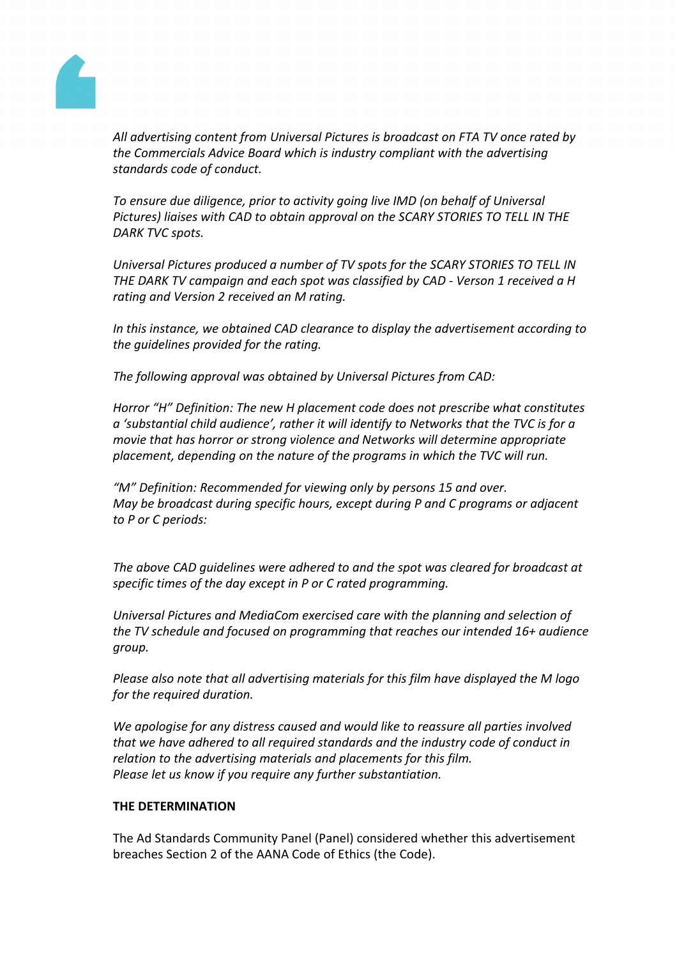

*All advertising content from Universal Pictures is broadcast on FTA TV once rated by the Commercials Advice Board which is industry compliant with the advertising standards code of conduct.*

*To ensure due diligence, prior to activity going live IMD (on behalf of Universal Pictures) liaises with CAD to obtain approval on the SCARY STORIES TO TELL IN THE DARK TVC spots.* 

*Universal Pictures produced a number of TV spots for the SCARY STORIES TO TELL IN THE DARK TV campaign and each spot was classified by CAD - Verson 1 received a H rating and Version 2 received an M rating.*

*In this instance, we obtained CAD clearance to display the advertisement according to the guidelines provided for the rating.*

*The following approval was obtained by Universal Pictures from CAD:*

*Horror "H" Definition: The new H placement code does not prescribe what constitutes a 'substantial child audience', rather it will identify to Networks that the TVC is for a movie that has horror or strong violence and Networks will determine appropriate placement, depending on the nature of the programs in which the TVC will run.*

*"M" Definition: Recommended for viewing only by persons 15 and over. May be broadcast during specific hours, except during P and C programs or adjacent to P or C periods:*

*The above CAD guidelines were adhered to and the spot was cleared for broadcast at specific times of the day except in P or C rated programming.*

*Universal Pictures and MediaCom exercised care with the planning and selection of the TV schedule and focused on programming that reaches our intended 16+ audience group.*

*Please also note that all advertising materials for this film have displayed the M logo for the required duration.*

*We apologise for any distress caused and would like to reassure all parties involved that we have adhered to all required standards and the industry code of conduct in relation to the advertising materials and placements for this film. Please let us know if you require any further substantiation.*

## **THE DETERMINATION**

The Ad Standards Community Panel (Panel) considered whether this advertisement breaches Section 2 of the AANA Code of Ethics (the Code).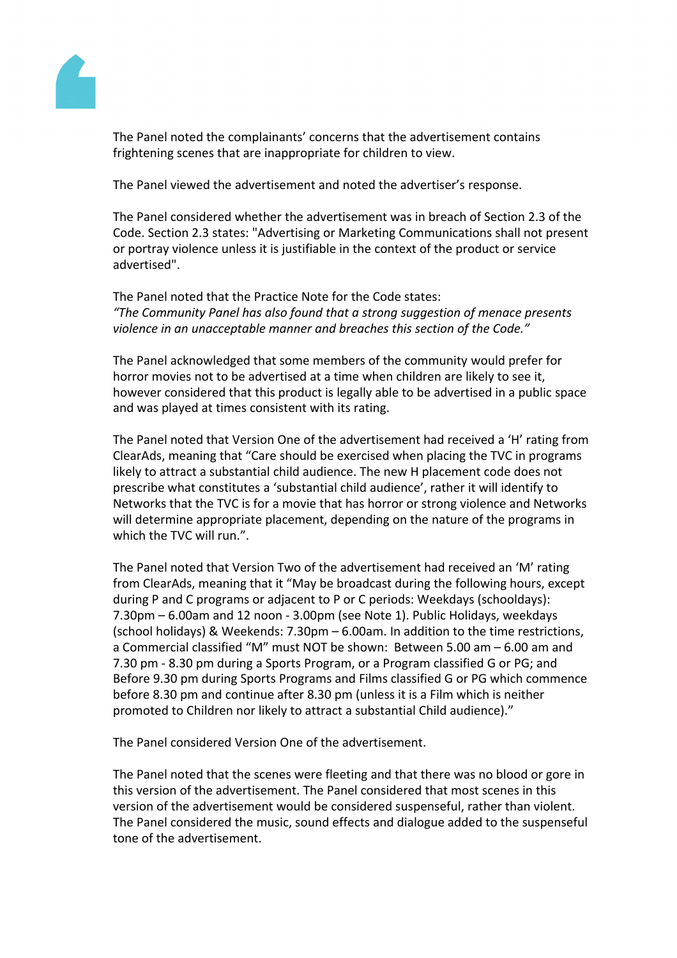

The Panel noted the complainants' concerns that the advertisement contains frightening scenes that are inappropriate for children to view.

The Panel viewed the advertisement and noted the advertiser's response.

The Panel considered whether the advertisement was in breach of Section 2.3 of the Code. Section 2.3 states: "Advertising or Marketing Communications shall not present or portray violence unless it is justifiable in the context of the product or service advertised".

The Panel noted that the Practice Note for the Code states: *"The Community Panel has also found that a strong suggestion of menace presents violence in an unacceptable manner and breaches this section of the Code."*

The Panel acknowledged that some members of the community would prefer for horror movies not to be advertised at a time when children are likely to see it, however considered that this product is legally able to be advertised in a public space and was played at times consistent with its rating.

The Panel noted that Version One of the advertisement had received a 'H' rating from ClearAds, meaning that "Care should be exercised when placing the TVC in programs likely to attract a substantial child audience. The new H placement code does not prescribe what constitutes a 'substantial child audience', rather it will identify to Networks that the TVC is for a movie that has horror or strong violence and Networks will determine appropriate placement, depending on the nature of the programs in which the TVC will run.".

The Panel noted that Version Two of the advertisement had received an 'M' rating from ClearAds, meaning that it "May be broadcast during the following hours, except during P and C programs or adjacent to P or C periods: Weekdays (schooldays): 7.30pm – 6.00am and 12 noon - 3.00pm (see Note 1). Public Holidays, weekdays (school holidays) & Weekends: 7.30pm – 6.00am. In addition to the time restrictions, a Commercial classified "M" must NOT be shown: Between 5.00 am – 6.00 am and 7.30 pm - 8.30 pm during a Sports Program, or a Program classified G or PG; and Before 9.30 pm during Sports Programs and Films classified G or PG which commence before 8.30 pm and continue after 8.30 pm (unless it is a Film which is neither promoted to Children nor likely to attract a substantial Child audience)."

The Panel considered Version One of the advertisement.

The Panel noted that the scenes were fleeting and that there was no blood or gore in this version of the advertisement. The Panel considered that most scenes in this version of the advertisement would be considered suspenseful, rather than violent. The Panel considered the music, sound effects and dialogue added to the suspenseful tone of the advertisement.